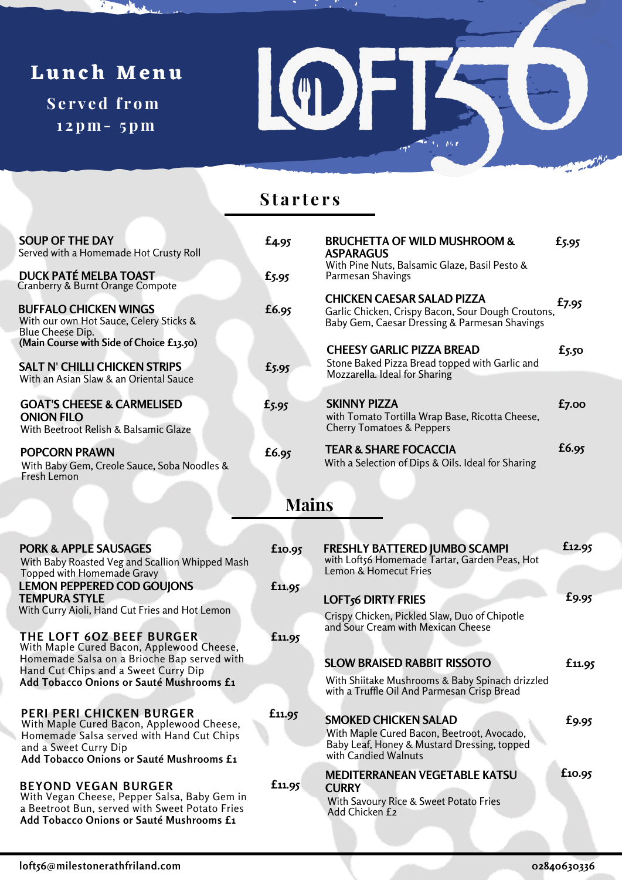# **Lunch Menu**

 $\sum_{i=1}^{n}$ 

**S e r v e d f r om 1 2pm- 5pm**



### **S t a r t e r s**

| <b>SOUP OF THE DAY</b><br>Served with a Homemade Hot Crusty Roll<br><b>DUCK PATÉ MELBA TOAST</b>                                                                                               | £4.95             | <b>BRUCHETTA OF WILD MUSHROOM &amp;</b><br><b>ASPARAGUS</b><br>With Pine Nuts, Balsamic Glaze, Basil Pesto &                                                  | £5.95      |  |  |  |  |  |
|------------------------------------------------------------------------------------------------------------------------------------------------------------------------------------------------|-------------------|---------------------------------------------------------------------------------------------------------------------------------------------------------------|------------|--|--|--|--|--|
| Cranberry & Burnt Orange Compote<br><b>BUFFALO CHICKEN WINGS</b><br>With our own Hot Sauce, Celery Sticks &                                                                                    | $E$ 5.95<br>£6.95 | Parmesan Shavings<br><b>CHICKEN CAESAR SALAD PIZZA</b><br>Garlic Chicken, Crispy Bacon, Sour Dough Croutons,<br>Baby Gem, Caesar Dressing & Parmesan Shavings | £7.95      |  |  |  |  |  |
| Blue Cheese Dip.<br>(Main Course with Side of Choice £13.50)<br><b>SALT N' CHILLI CHICKEN STRIPS</b><br>With an Asian Slaw & an Oriental Sauce                                                 | £5.95             | <b>CHEESY GARLIC PIZZA BREAD</b><br>Stone Baked Pizza Bread topped with Garlic and<br>Mozzarella. Ideal for Sharing                                           | $f_{5.50}$ |  |  |  |  |  |
| <b>GOAT'S CHEESE &amp; CARMELISED</b><br><b>ONION FILO</b><br>With Beetroot Relish & Balsamic Glaze                                                                                            | £5.95             | <b>SKINNY PIZZA</b><br>with Tomato Tortilla Wrap Base, Ricotta Cheese,<br><b>Cherry Tomatoes &amp; Peppers</b>                                                | $f_{7.00}$ |  |  |  |  |  |
| <b>POPCORN PRAWN</b><br>With Baby Gem, Creole Sauce, Soba Noodles &<br>Fresh Lemon                                                                                                             | £6.95             | <b>TEAR &amp; SHARE FOCACCIA</b><br>With a Selection of Dips & Oils. Ideal for Sharing                                                                        | £6.95      |  |  |  |  |  |
| <b>Mains</b>                                                                                                                                                                                   |                   |                                                                                                                                                               |            |  |  |  |  |  |
| <b>PORK &amp; APPLE SAUSAGES</b><br>With Baby Roasted Veg and Scallion Whipped Mash<br>Topped with Homemade Gravy                                                                              | £10.95            | <b>FRESHLY BATTERED JUMBO SCAMPI</b><br>with Loft56 Homemade Tartar, Garden Peas, Hot<br>Lemon & Homecut Fries                                                | £12.95     |  |  |  |  |  |
| <b>LEMON PEPPERED COD GOUJONS</b><br><b>TEMPURA STYLE</b><br>With Curry Aioli, Hand Cut Fries and Hot Lemon                                                                                    | £11.95            | <b>LOFT<sub>56</sub></b> DIRTY FRIES<br>Crispy Chicken, Pickled Slaw, Duo of Chipotle                                                                         | £9.95      |  |  |  |  |  |
| <b>THE LOFT 60Z BEEF BURGER</b><br>With Maple Cured Bacon, Applewood Cheese,<br>Homemade Salsa on a Brioche Bap served with                                                                    | £11.95            | and Sour Cream with Mexican Cheese<br><b>SLOW BRAISED RABBIT RISSOTO</b>                                                                                      | £11.95     |  |  |  |  |  |
| Hand Cut Chips and a Sweet Curry Dip<br>Add Tobacco Onions or Sauté Mushrooms £1                                                                                                               |                   | With Shiitake Mushrooms & Baby Spinach drizzled<br>with a Truffle Oil And Parmesan Crisp Bread                                                                |            |  |  |  |  |  |
| <b>PERI PERI CHICKEN BURGER</b><br>With Maple Cured Bacon, Applewood Cheese,<br>Homemade Salsa served with Hand Cut Chips<br>and a Sweet Curry Dip<br>Add Tobacco Onions or Sauté Mushrooms £1 | £11.95            | <b>SMOKED CHICKEN SALAD</b><br>With Maple Cured Bacon, Beetroot, Avocado,<br>Baby Leaf, Honey & Mustard Dressing, topped<br>with Candied Walnuts              | £9.95      |  |  |  |  |  |
| <b>BEYOND VEGAN BURGER</b><br>With Vegan Cheese, Pepper Salsa, Baby Gem in<br>a Beetroot Bun, served with Sweet Potato Fries<br>Add Tobacco Onions or Sauté Mushrooms £1                       | £11.95            | <b>MEDITERRANEAN VEGETABLE KATSU</b><br><b>CURRY</b><br>With Savoury Rice & Sweet Potato Fries<br>Add Chicken £2                                              | £10.95     |  |  |  |  |  |
|                                                                                                                                                                                                |                   |                                                                                                                                                               |            |  |  |  |  |  |